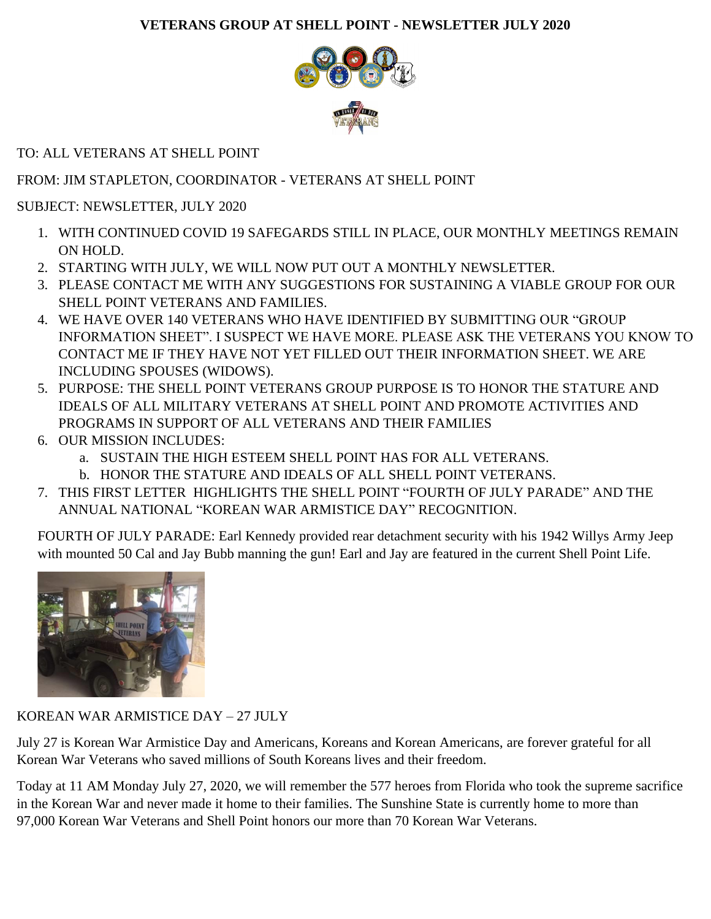## **VETERANS GROUP AT SHELL POINT - NEWSLETTER JULY 2020**



TO: ALL VETERANS AT SHELL POINT

## FROM: JIM STAPLETON, COORDINATOR - VETERANS AT SHELL POINT

SUBJECT: NEWSLETTER, JULY 2020

- 1. WITH CONTINUED COVID 19 SAFEGARDS STILL IN PLACE, OUR MONTHLY MEETINGS REMAIN ON HOLD.
- 2. STARTING WITH JULY, WE WILL NOW PUT OUT A MONTHLY NEWSLETTER.
- 3. PLEASE CONTACT ME WITH ANY SUGGESTIONS FOR SUSTAINING A VIABLE GROUP FOR OUR SHELL POINT VETERANS AND FAMILIES.
- 4. WE HAVE OVER 140 VETERANS WHO HAVE IDENTIFIED BY SUBMITTING OUR "GROUP INFORMATION SHEET". I SUSPECT WE HAVE MORE. PLEASE ASK THE VETERANS YOU KNOW TO CONTACT ME IF THEY HAVE NOT YET FILLED OUT THEIR INFORMATION SHEET. WE ARE INCLUDING SPOUSES (WIDOWS).
- 5. PURPOSE: THE SHELL POINT VETERANS GROUP PURPOSE IS TO HONOR THE STATURE AND IDEALS OF ALL MILITARY VETERANS AT SHELL POINT AND PROMOTE ACTIVITIES AND PROGRAMS IN SUPPORT OF ALL VETERANS AND THEIR FAMILIES
- 6. OUR MISSION INCLUDES:
	- a. SUSTAIN THE HIGH ESTEEM SHELL POINT HAS FOR ALL VETERANS.
	- b. HONOR THE STATURE AND IDEALS OF ALL SHELL POINT VETERANS.
- 7. THIS FIRST LETTER HIGHLIGHTS THE SHELL POINT "FOURTH OF JULY PARADE" AND THE ANNUAL NATIONAL "KOREAN WAR ARMISTICE DAY" RECOGNITION.

FOURTH OF JULY PARADE: Earl Kennedy provided rear detachment security with his 1942 Willys Army Jeep with mounted 50 Cal and Jay Bubb manning the gun! Earl and Jay are featured in the current Shell Point Life.



## KOREAN WAR ARMISTICE DAY – 27 JULY

July 27 is Korean War Armistice Day and Americans, Koreans and Korean Americans, are forever grateful for all Korean War Veterans who saved millions of South Koreans lives and their freedom.

Today at 11 AM Monday July 27, 2020, we will remember the 577 heroes from Florida who took the supreme sacrifice in the Korean War and never made it home to their families. The Sunshine State is currently home to more than 97,000 Korean War Veterans and Shell Point honors our more than 70 Korean War Veterans.